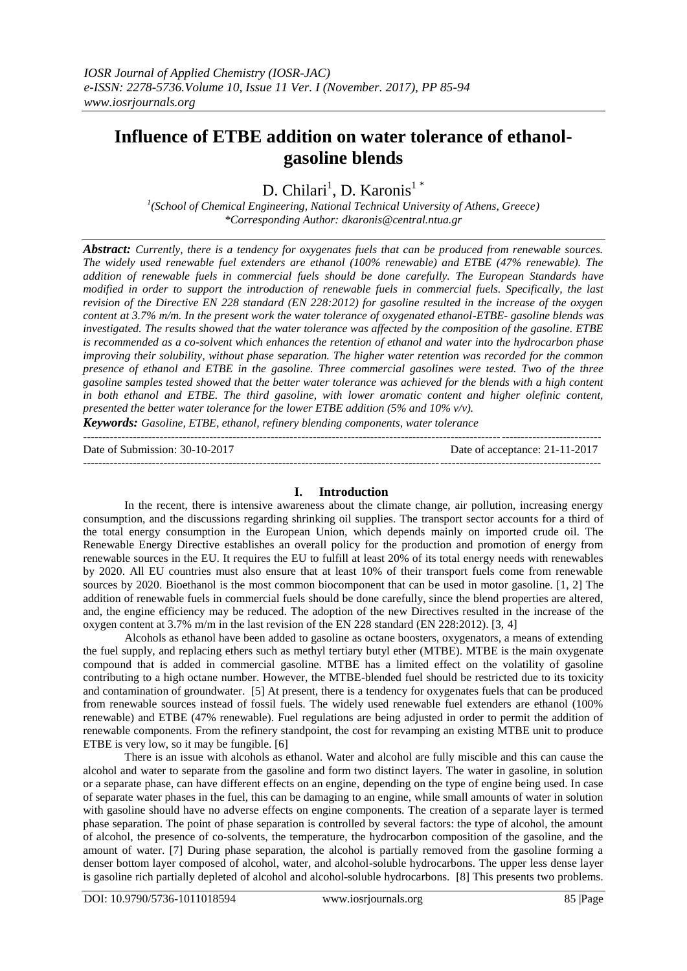# **Influence of ETBE addition on water tolerance of ethanolgasoline blends**

D. Chilari<sup>1</sup>, D. Karonis<sup>1</sup>\*

*1 (School of Chemical Engineering, National Technical University of Athens, Greece) \*Corresponding Author: dkaronis@central.ntua.gr*

*Abstract: Currently, there is a tendency for oxygenates fuels that can be produced from renewable sources. The widely used renewable fuel extenders are ethanol (100% renewable) and ETBE (47% renewable). The addition of renewable fuels in commercial fuels should be done carefully. The European Standards have modified in order to support the introduction of renewable fuels in commercial fuels. Specifically, the last revision of the Directive EN 228 standard (EN 228:2012) for gasoline resulted in the increase of the oxygen content at 3.7% m/m. In the present work the water tolerance of oxygenated ethanol-ETBE- gasoline blends was investigated. The results showed that the water tolerance was affected by the composition of the gasoline. ETBE is recommended as a co-solvent which enhances the retention of ethanol and water into the hydrocarbon phase improving their solubility, without phase separation. The higher water retention was recorded for the common presence of ethanol and ETBE in the gasoline. Three commercial gasolines were tested. Two of the three gasoline samples tested showed that the better water tolerance was achieved for the blends with a high content in both ethanol and ETBE. The third gasoline, with lower aromatic content and higher olefinic content, presented the better water tolerance for the lower ETBE addition (5% and 10% v/v).* 

*Keywords: Gasoline, ETBE, ethanol, refinery blending components, water tolerance* ---------------------------------------------------------------------------------------------------------------------------------------

Date of Submission: 30-10-2017 Date of acceptance: 21-11-2017

### **I. Introduction**

---------------------------------------------------------------------------------------------------------------------------------------

In the recent, there is intensive awareness about the climate change, air pollution, increasing energy consumption, and the discussions regarding shrinking oil supplies. The transport sector accounts for a third of the total energy consumption in the European Union, which depends mainly on imported crude oil. The Renewable Energy Directive establishes an overall policy for the production and promotion of energy from renewable sources in the EU. It requires the EU to fulfill at least 20% of its total energy needs with renewables by 2020. All EU countries must also ensure that at least 10% of their transport fuels come from renewable sources by 2020. Bioethanol is the most common biocomponent that can be used in motor gasoline. [1, 2] The addition of renewable fuels in commercial fuels should be done carefully, since the blend properties are altered, and, the engine efficiency may be reduced. The adoption of the new Directives resulted in the increase of the oxygen content at 3.7% m/m in the last revision of the EN 228 standard (EN 228:2012). [3, 4]

Alcohols as ethanol have been added to gasoline as octane boosters, oxygenators, a means of extending the fuel supply, and replacing ethers such as methyl tertiary butyl ether (MTBE). MTBE is the main oxygenate compound that is added in commercial gasoline. MTBE has a limited effect on the volatility of gasoline contributing to a high octane number. However, the MTBE-blended fuel should be restricted due to its toxicity and contamination of groundwater. [5] At present, there is a tendency for oxygenates fuels that can be produced from renewable sources instead of fossil fuels. The widely used renewable fuel extenders are ethanol (100% renewable) and ETBE (47% renewable). Fuel regulations are being adjusted in order to permit the addition of renewable components. From the refinery standpoint, the cost for revamping an existing MTBE unit to produce ETBE is very low, so it may be fungible. [6]

There is an issue with alcohols as ethanol. Water and alcohol are fully miscible and this can cause the alcohol and water to separate from the gasoline and form two distinct layers. The water in gasoline, in solution or a separate phase, can have different effects on an engine, depending on the type of engine being used. In case of separate water phases in the fuel, this can be damaging to an engine, while small amounts of water in solution with gasoline should have no adverse effects on engine components. The creation of a separate layer is termed phase separation. The point of phase separation is controlled by several factors: the type of alcohol, the amount of alcohol, the presence of co-solvents, the temperature, the hydrocarbon composition of the gasoline, and the amount of water. [7] During phase separation, the alcohol is partially removed from the gasoline forming a denser bottom layer composed of alcohol, water, and alcohol-soluble hydrocarbons. The upper less dense layer is gasoline rich partially depleted of alcohol and alcohol-soluble hydrocarbons. [8] This presents two problems.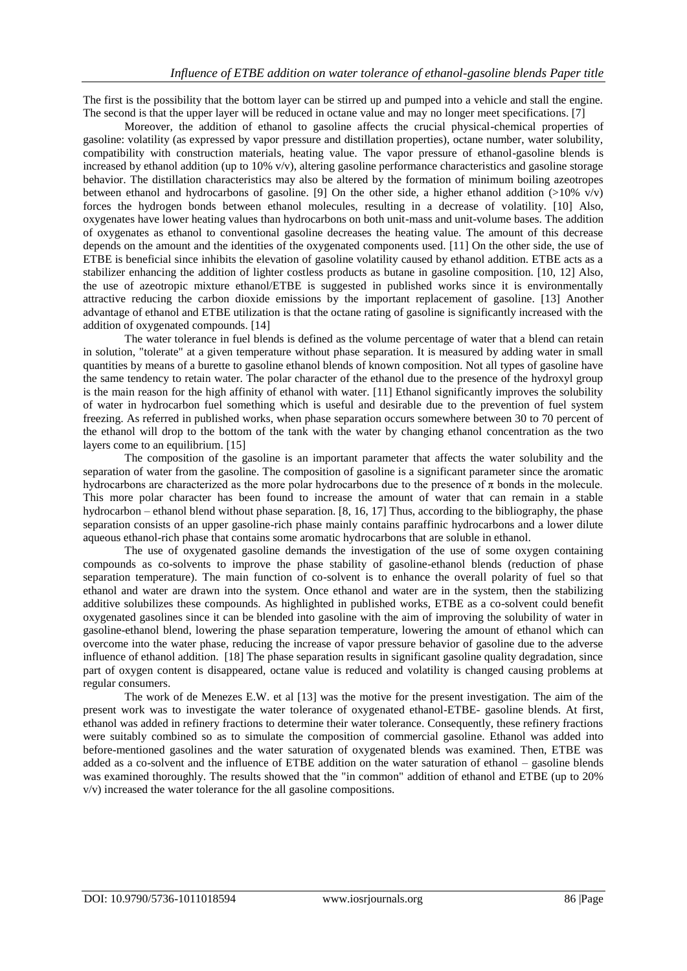The first is the possibility that the bottom layer can be stirred up and pumped into a vehicle and stall the engine. The second is that the upper layer will be reduced in octane value and may no longer meet specifications. [7]

Moreover, the addition of ethanol to gasoline affects the crucial physical-chemical properties of gasoline: volatility (as expressed by vapor pressure and distillation properties), octane number, water solubility, compatibility with construction materials, heating value. The vapor pressure of ethanol-gasoline blends is increased by ethanol addition (up to 10% v/v), altering gasoline performance characteristics and gasoline storage behavior. The distillation characteristics may also be altered by the formation of minimum boiling azeotropes between ethanol and hydrocarbons of gasoline. [9] On the other side, a higher ethanol addition  $(>10\%$  v/v) forces the hydrogen bonds between ethanol molecules, resulting in a decrease of volatility. [10] Also, oxygenates have lower heating values than hydrocarbons on both unit-mass and unit-volume bases. The addition of oxygenates as ethanol to conventional gasoline decreases the heating value. The amount of this decrease depends on the amount and the identities of the oxygenated components used. [11] On the other side, the use of ETBE is beneficial since inhibits the elevation of gasoline volatility caused by ethanol addition. ETBE acts as a stabilizer enhancing the addition of lighter costless products as butane in gasoline composition. [10, 12] Also, the use of azeotropic mixture ethanol/ETBE is suggested in published works since it is environmentally attractive reducing the carbon dioxide emissions by the important replacement of gasoline. [13] Another advantage of ethanol and ETBE utilization is that the octane rating of gasoline is significantly increased with the addition of oxygenated compounds. [14]

The water tolerance in fuel blends is defined as the volume percentage of water that a blend can retain in solution, "tolerate" at a given temperature without phase separation. It is measured by adding water in small quantities by means of a burette to gasoline ethanol blends of known composition. Not all types of gasoline have the same tendency to retain water. The polar character of the ethanol due to the presence of the hydroxyl group is the main reason for the high affinity of ethanol with water. [11] Ethanol significantly improves the solubility of water in hydrocarbon fuel something which is useful and desirable due to the prevention of fuel system freezing. As referred in published works, when phase separation occurs somewhere between 30 to 70 percent of the ethanol will drop to the bottom of the tank with the water by changing ethanol concentration as the two layers come to an equilibrium. [15]

The composition of the gasoline is an important parameter that affects the water solubility and the separation of water from the gasoline. The composition of gasoline is a significant parameter since the aromatic hydrocarbons are characterized as the more polar hydrocarbons due to the presence of  $\pi$  bonds in the molecule. This more polar character has been found to increase the amount of water that can remain in a stable hydrocarbon – ethanol blend without phase separation. [8, 16, 17] Thus, according to the bibliography, the phase separation consists of an upper gasoline-rich phase mainly contains paraffinic hydrocarbons and a lower dilute aqueous ethanol-rich phase that contains some aromatic hydrocarbons that are soluble in ethanol.

The use of oxygenated gasoline demands the investigation of the use of some oxygen containing compounds as co-solvents to improve the phase stability of gasoline-ethanol blends (reduction of phase separation temperature). The main function of co-solvent is to enhance the overall polarity of fuel so that ethanol and water are drawn into the system. Once ethanol and water are in the system, then the stabilizing additive solubilizes these compounds. As highlighted in published works, ETBE as a co-solvent could benefit oxygenated gasolines since it can be blended into gasoline with the aim of improving the solubility of water in gasoline-ethanol blend, lowering the phase separation temperature, lowering the amount of ethanol which can overcome into the water phase, reducing the increase of vapor pressure behavior of gasoline due to the adverse influence of ethanol addition. [18] The phase separation results in significant gasoline quality degradation, since part of oxygen content is disappeared, octane value is reduced and volatility is changed causing problems at regular consumers.

The work of de Menezes E.W. et al [13] was the motive for the present investigation. The aim of the present work was to investigate the water tolerance of oxygenated ethanol-ETBE- gasoline blends. At first, ethanol was added in refinery fractions to determine their water tolerance. Consequently, these refinery fractions were suitably combined so as to simulate the composition of commercial gasoline. Ethanol was added into before-mentioned gasolines and the water saturation of oxygenated blends was examined. Then, ETBE was added as a co-solvent and the influence of ETBE addition on the water saturation of ethanol – gasoline blends was examined thoroughly. The results showed that the "in common" addition of ethanol and ETBE (up to 20% v/v) increased the water tolerance for the all gasoline compositions.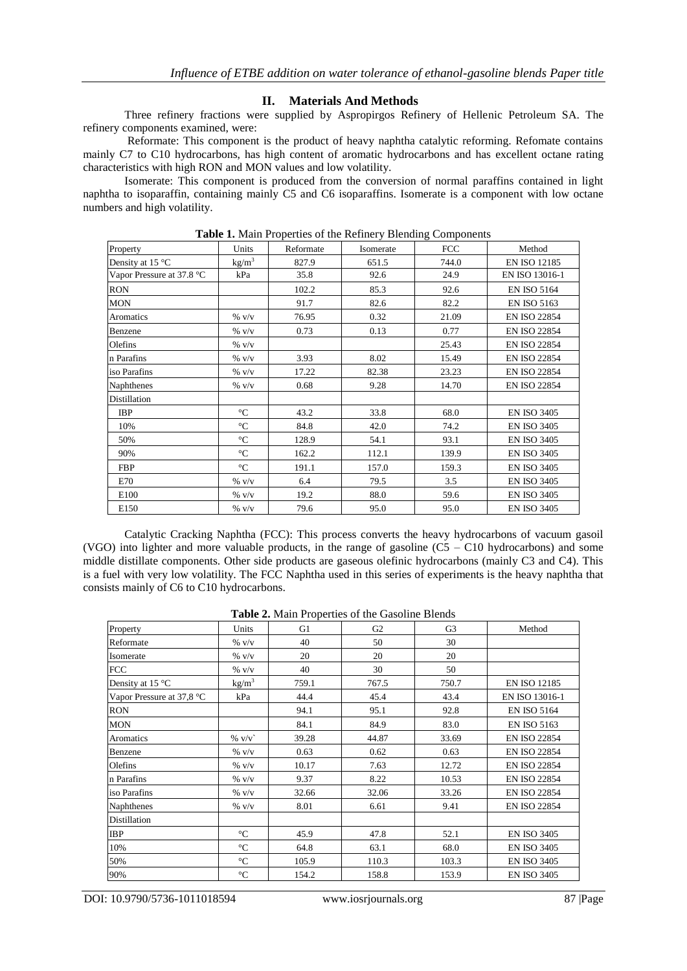## **II. Materials And Methods**

Three refinery fractions were supplied by Aspropirgos Refinery of Hellenic Petroleum SA. The refinery components examined, were:

Reformate: This component is the product of heavy naphtha catalytic reforming. Refomate contains mainly C7 to C10 hydrocarbons, has high content of aromatic hydrocarbons and has excellent octane rating characteristics with high RON and MON values and low volatility.

Isomerate: This component is produced from the conversion of normal paraffins contained in light naphtha to isoparaffin, containing mainly C5 and C6 isoparaffins. Isomerate is a component with low octane numbers and high volatility.

| Property                  | Units                          | Reformate | Isomerate | <b>FCC</b> | Method              |  |  |  |  |
|---------------------------|--------------------------------|-----------|-----------|------------|---------------------|--|--|--|--|
| Density at 15 °C          | $\frac{\text{kg}}{\text{m}^3}$ | 827.9     | 651.5     | 744.0      | <b>EN ISO 12185</b> |  |  |  |  |
| Vapor Pressure at 37.8 °C | kPa                            | 35.8      | 92.6      | 24.9       | EN ISO 13016-1      |  |  |  |  |
| <b>RON</b>                |                                | 102.2     | 85.3      | 92.6       | <b>EN ISO 5164</b>  |  |  |  |  |
| <b>MON</b>                |                                | 91.7      | 82.6      | 82.2       | <b>EN ISO 5163</b>  |  |  |  |  |
| Aromatics                 | % v/v                          | 76.95     | 0.32      | 21.09      | <b>EN ISO 22854</b> |  |  |  |  |
| Benzene                   | $\%$ v/v                       | 0.73      | 0.13      | 0.77       | <b>EN ISO 22854</b> |  |  |  |  |
| Olefins                   | $\%$ v/v                       |           |           | 25.43      | <b>EN ISO 22854</b> |  |  |  |  |
| n Parafins                | $\%$ v/v                       | 3.93      | 8.02      | 15.49      | <b>EN ISO 22854</b> |  |  |  |  |
| iso Parafins              | $\%$ v/v                       | 17.22     | 82.38     | 23.23      | <b>EN ISO 22854</b> |  |  |  |  |
| Naphthenes                | % v/v                          | 0.68      | 9.28      | 14.70      | EN ISO 22854        |  |  |  |  |
| Distillation              |                                |           |           |            |                     |  |  |  |  |
| <b>IBP</b>                | $\rm ^{\circ}C$                | 43.2      | 33.8      | 68.0       | <b>EN ISO 3405</b>  |  |  |  |  |
| 10%                       | $\rm ^{\circ}C$                | 84.8      | 42.0      | 74.2       | <b>EN ISO 3405</b>  |  |  |  |  |
| 50%                       | $\rm ^{\circ}C$                | 128.9     | 54.1      | 93.1       | <b>EN ISO 3405</b>  |  |  |  |  |
| 90%                       | $^{\circ}C$                    | 162.2     | 112.1     | 139.9      | <b>EN ISO 3405</b>  |  |  |  |  |
| <b>FBP</b>                | $\rm ^{\circ}C$                | 191.1     | 157.0     | 159.3      | <b>EN ISO 3405</b>  |  |  |  |  |
| E70                       | % v/v                          | 6.4       | 79.5      | 3.5        | <b>EN ISO 3405</b>  |  |  |  |  |
| E100                      | % v/v                          | 19.2      | 88.0      | 59.6       | <b>EN ISO 3405</b>  |  |  |  |  |
| E150                      | % v/v                          | 79.6      | 95.0      | 95.0       | <b>EN ISO 3405</b>  |  |  |  |  |

**Table 1.** Main Properties of the Refinery Blending Components

Catalytic Cracking Naphtha (FCC): This process converts the heavy hydrocarbons of vacuum gasoil (VGO) into lighter and more valuable products, in the range of gasoline  $(C5 - C10)$  hydrocarbons) and some middle distillate components. Other side products are gaseous olefinic hydrocarbons (mainly C3 and C4). This is a fuel with very low volatility. The FCC Naphtha used in this series of experiments is the heavy naphtha that consists mainly of C6 to C10 hydrocarbons.

#### **Table 2.** Main Properties of the Gasoline Blends

| Property                  | Units             | G1    | G <sub>2</sub> | G <sub>3</sub> | Method              |
|---------------------------|-------------------|-------|----------------|----------------|---------------------|
| Reformate                 | $\%$ v/v          | 40    | 50             | 30             |                     |
| Isomerate                 | $\%$ V/V          | 20    | 20             | 20             |                     |
| <b>FCC</b>                | $\%$ V/V          | 40    | 30             | 50             |                     |
| Density at 15 °C          | kg/m <sup>3</sup> | 759.1 | 767.5          | 750.7          | <b>EN ISO 12185</b> |
| Vapor Pressure at 37,8 °C | kPa               | 44.4  | 45.4           | 43.4           | EN ISO 13016-1      |
| <b>RON</b>                |                   | 94.1  | 95.1           | 92.8           | <b>EN ISO 5164</b>  |
| <b>MON</b>                |                   | 84.1  | 84.9           | 83.0           | <b>EN ISO 5163</b>  |
| Aromatics                 | $\%$ v/v          | 39.28 | 44.87          | 33.69          | <b>EN ISO 22854</b> |
| Benzene                   | % v/v             | 0.63  | 0.62           | 0.63           | <b>EN ISO 22854</b> |
| Olefins                   | $\%$ v/v          | 10.17 | 7.63           | 12.72          | <b>EN ISO 22854</b> |
| n Parafins                | $\%$ v/v          | 9.37  | 8.22           | 10.53          | <b>EN ISO 22854</b> |
| iso Parafins              | $\%$ v/v          | 32.66 | 32.06          | 33.26          | <b>EN ISO 22854</b> |
| Naphthenes                | $\%$ v/v          | 8.01  | 6.61           | 9.41           | <b>EN ISO 22854</b> |
| Distillation              |                   |       |                |                |                     |
| <b>IBP</b>                | $\rm ^{\circ}C$   | 45.9  | 47.8           | 52.1           | <b>EN ISO 3405</b>  |
| 10%                       | $\rm ^{\circ}C$   | 64.8  | 63.1           | 68.0           | <b>EN ISO 3405</b>  |
| 50%                       | $\rm ^{\circ}C$   | 105.9 | 110.3          | 103.3          | <b>EN ISO 3405</b>  |
| 90%                       | $\rm ^{\circ}C$   | 154.2 | 158.8          | 153.9          | <b>EN ISO 3405</b>  |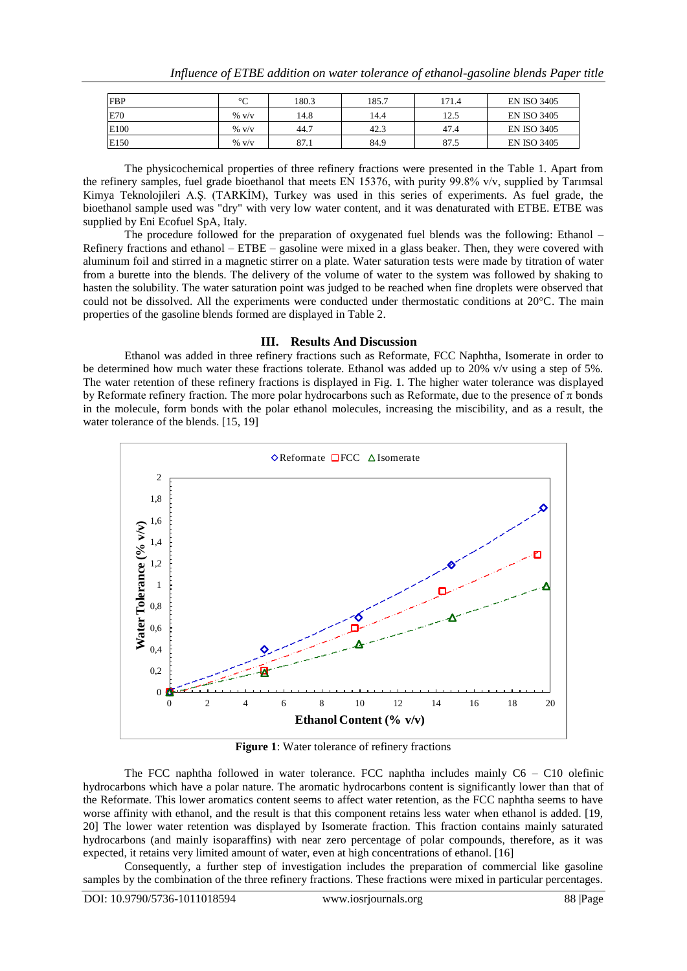| <b>FBP</b> | $\sim$   | 180.3 | 185.7 | 171.4 | <b>EN ISO 3405</b> |
|------------|----------|-------|-------|-------|--------------------|
| E70        | $\%$ v/v | 14.8  | 14.4  | 12.5  | <b>EN ISO 3405</b> |
| E100       | $\%$ v/v | 44.7  | 42.3  | 47.4  | <b>EN ISO 3405</b> |
| E150       | $\%$ v/v | 87.1  | 84.9  | 87.5  | <b>EN ISO 3405</b> |

The physicochemical properties of three refinery fractions were presented in the Table 1. Apart from the refinery samples, fuel grade bioethanol that meets EN 15376, with purity 99.8% v/v, supplied by Tarımsal Kimya Teknolojileri A.Ş. (TARKİM), Turkey was used in this series of experiments. As fuel grade, the bioethanol sample used was "dry" with very low water content, and it was denaturated with ETBE. ETBE was supplied by Eni Ecofuel SpA, Italy.

The procedure followed for the preparation of oxygenated fuel blends was the following: Ethanol – Refinery fractions and ethanol – ETBE – gasoline were mixed in a glass beaker. Then, they were covered with aluminum foil and stirred in a magnetic stirrer on a plate. Water saturation tests were made by titration of water from a burette into the blends. The delivery of the volume of water to the system was followed by shaking to hasten the solubility. The water saturation point was judged to be reached when fine droplets were observed that could not be dissolved. All the experiments were conducted under thermostatic conditions at 20°C. The main properties of the gasoline blends formed are displayed in Table 2.

#### **III. Results And Discussion**

Ethanol was added in three refinery fractions such as Reformate, FCC Naphtha, Isomerate in order to be determined how much water these fractions tolerate. Ethanol was added up to 20% v/v using a step of 5%. The water retention of these refinery fractions is displayed in Fig. 1. The higher water tolerance was displayed by Reformate refinery fraction. Τhe more polar hydrocarbons such as Reformate, due to the presence of π bonds in the molecule, form bonds with the polar ethanol molecules, increasing the miscibility, and as a result, the water tolerance of the blends. [15, 19]



**Figure 1**: Water tolerance of refinery fractions

The FCC naphtha followed in water tolerance. FCC naphtha includes mainly C6 – C10 olefinic hydrocarbons which have a polar nature. The aromatic hydrocarbons content is significantly lower than that of the Reformate. This lower aromatics content seems to affect water retention, as the FCC naphtha seems to have worse affinity with ethanol, and the result is that this component retains less water when ethanol is added. [19, 20] The lower water retention was displayed by Isomerate fraction. This fraction contains mainly saturated hydrocarbons (and mainly isoparaffins) with near zero percentage of polar compounds, therefore, as it was expected, it retains very limited amount of water, even at high concentrations of ethanol. [16]

Consequently, a further step of investigation includes the preparation of commercial like gasoline samples by the combination of the three refinery fractions. These fractions were mixed in particular percentages.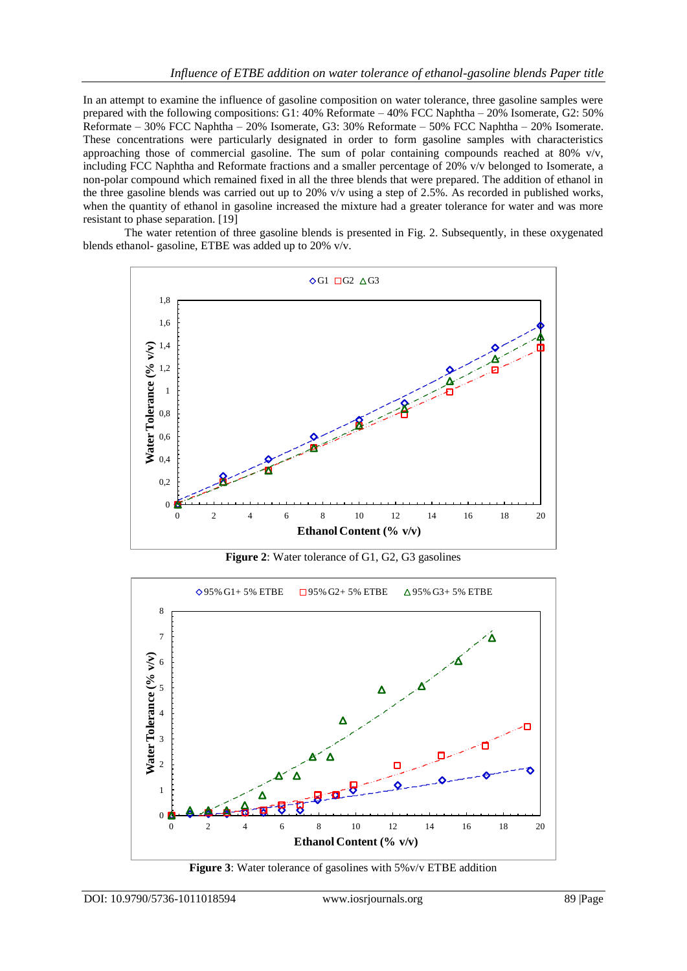In an attempt to examine the influence of gasoline composition on water tolerance, three gasoline samples were prepared with the following compositions: G1: 40% Reformate – 40% FCC Naphtha – 20% Isomerate, G2: 50% Reformate – 30% FCC Naphtha – 20% Isomerate, G3: 30% Reformate – 50% FCC Naphtha – 20% Isomerate. These concentrations were particularly designated in order to form gasoline samples with characteristics approaching those of commercial gasoline. The sum of polar containing compounds reached at 80% v/v, including FCC Naphtha and Reformate fractions and a smaller percentage of 20% v/v belonged to Isomerate, a non-polar compound which remained fixed in all the three blends that were prepared. The addition of ethanol in the three gasoline blends was carried out up to 20% v/v using a step of 2.5%. As recorded in published works, when the quantity of ethanol in gasoline increased the mixture had a greater tolerance for water and was more resistant to phase separation. [19]

The water retention of three gasoline blends is presented in Fig. 2. Subsequently, in these oxygenated blends ethanol- gasoline, ETBE was added up to 20% v/v.



**Figure 2**: Water tolerance of G1, G2, G3 gasolines



**Figure 3**: Water tolerance of gasolines with 5%v/v ETBE addition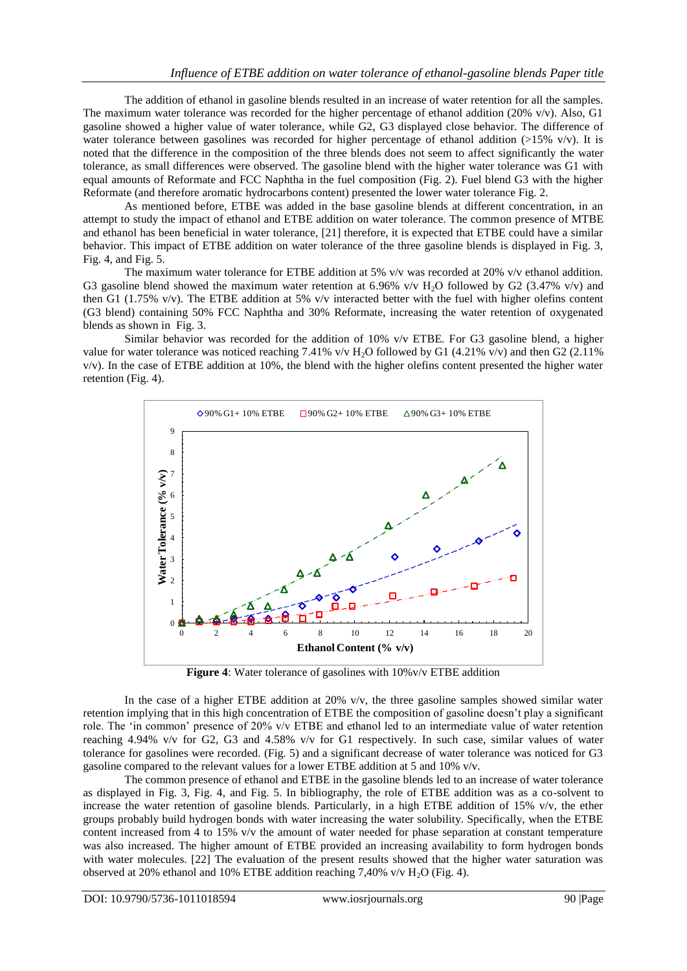The addition of ethanol in gasoline blends resulted in an increase of water retention for all the samples. The maximum water tolerance was recorded for the higher percentage of ethanol addition (20%  $v/v$ ). Also, G1 gasoline showed a higher value of water tolerance, while G2, G3 displayed close behavior. The difference of water tolerance between gasolines was recorded for higher percentage of ethanol addition  $(>15\%$  v/v). It is noted that the difference in the composition of the three blends does not seem to affect significantly the water tolerance, as small differences were observed. The gasoline blend with the higher water tolerance was G1 with equal amounts of Reformate and FCC Naphtha in the fuel composition (Fig. 2). Fuel blend G3 with the higher Reformate (and therefore aromatic hydrocarbons content) presented the lower water tolerance Fig. 2.

As mentioned before, ETBE was added in the base gasoline blends at different concentration, in an attempt to study the impact of ethanol and ETBE addition on water tolerance. The common presence of MTBE and ethanol has been beneficial in water tolerance, [21] therefore, it is expected that ETBE could have a similar behavior. This impact of ETBE addition on water tolerance of the three gasoline blends is displayed in Fig. 3, Fig. 4, and Fig. 5.

The maximum water tolerance for ETBE addition at 5% v/v was recorded at 20% v/v ethanol addition. G3 gasoline blend showed the maximum water retention at 6.96% v/v H<sub>2</sub>O followed by G2 (3.47% v/v) and then G1 (1.75% v/v). The ETBE addition at 5% v/v interacted better with the fuel with higher olefins content (G3 blend) containing 50% FCC Naphtha and 30% Reformate, increasing the water retention of oxygenated blends as shown in Fig. 3.

Similar behavior was recorded for the addition of 10% v/v ETBE. For G3 gasoline blend, a higher value for water tolerance was noticed reaching 7.41% v/v  $H_2O$  followed by G1 (4.21% v/v) and then G2 (2.11% v/v). In the case of ETBE addition at 10%, the blend with the higher olefins content presented the higher water retention (Fig. 4).



**Figure 4**: Water tolerance of gasolines with 10%v/v ETBE addition

In the case of a higher ETBE addition at 20% v/v, the three gasoline samples showed similar water retention implying that in this high concentration of ETBE the composition of gasoline doesn"t play a significant role. The "in common" presence of 20% v/v ETBE and ethanol led to an intermediate value of water retention reaching 4.94% v/v for G2, G3 and 4.58% v/v for G1 respectively. In such case, similar values of water tolerance for gasolines were recorded. (Fig. 5) and a significant decrease of water tolerance was noticed for G3 gasoline compared to the relevant values for a lower ETBE addition at 5 and 10% v/v.

The common presence of ethanol and ETBE in the gasoline blends led to an increase of water tolerance as displayed in Fig. 3, Fig. 4, and Fig. 5. In bibliography, the role of ETBE addition was as a co-solvent to increase the water retention of gasoline blends. Particularly, in a high ETBE addition of 15% v/v, the ether groups probably build hydrogen bonds with water increasing the water solubility. Specifically, when the ETBE content increased from 4 to 15% v/v the amount of water needed for phase separation at constant temperature was also increased. The higher amount of ETBE provided an increasing availability to form hydrogen bonds with water molecules. [22] The evaluation of the present results showed that the higher water saturation was observed at 20% ethanol and 10% ETBE addition reaching 7,40% v/v  $H_2O$  (Fig. 4).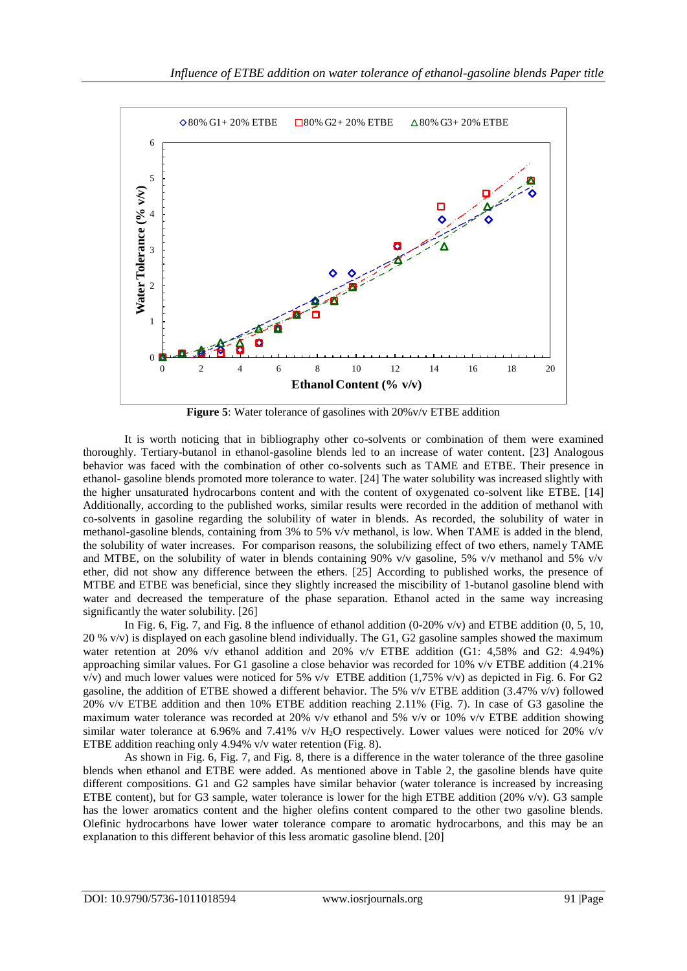

**Figure 5**: Water tolerance of gasolines with 20%v/v ETBE addition

It is worth noticing that in bibliography other co-solvents or combination of them were examined thoroughly. Tertiary-butanol in ethanol-gasoline blends led to an increase of water content. [23] Analogous behavior was faced with the combination of other co-solvents such as TAME and ETBE. Their presence in ethanol- gasoline blends promoted more tolerance to water. [24] The water solubility was increased slightly with the higher unsaturated hydrocarbons content and with the content of oxygenated co-solvent like ETBE. [14] Additionally, according to the published works, similar results were recorded in the addition of methanol with co-solvents in gasoline regarding the solubility of water in blends. As recorded, the solubility of water in methanol-gasoline blends, containing from 3% to 5% v/v methanol, is low. When TAME is added in the blend, the solubility of water increases. For comparison reasons, the solubilizing effect of two ethers, namely TAME and MTBE, on the solubility of water in blends containing 90% v/v gasoline, 5% v/v methanol and 5% v/v ether, did not show any difference between the ethers. [25] According to published works, the presence of MTBE and ETBE was beneficial, since they slightly increased the miscibility of 1-butanol gasoline blend with water and decreased the temperature of the phase separation. Ethanol acted in the same way increasing significantly the water solubility. [26]

In Fig. 6, Fig. 7, and Fig. 8 the influence of ethanol addition  $(0-20\% \text{ v/v})$  and ETBE addition  $(0, 5, 10, \text{m})$ 20 %  $v/v$ ) is displayed on each gasoline blend individually. The G1, G2 gasoline samples showed the maximum water retention at 20% v/v ethanol addition and 20% v/v ETBE addition (G1: 4,58% and G2: 4.94%) approaching similar values. For G1 gasoline a close behavior was recorded for 10% v/v ETBE addition (4.21%  $v/v$ ) and much lower values were noticed for 5%  $v/v$  ETBE addition (1,75%  $v/v$ ) as depicted in Fig. 6. For G2 gasoline, the addition of ETBE showed a different behavior. The 5% v/v ETBE addition (3.47% v/v) followed 20% v/v ETBE addition and then 10% ETBE addition reaching 2.11% (Fig. 7). In case of G3 gasoline the maximum water tolerance was recorded at 20% v/v ethanol and 5% v/v or 10% v/v ETBE addition showing similar water tolerance at 6.96% and 7.41%  $v/v$  H<sub>2</sub>O respectively. Lower values were noticed for 20%  $v/v$ ETBE addition reaching only 4.94% v/v water retention (Fig. 8).

As shown in Fig. 6, Fig. 7, and Fig. 8, there is a difference in the water tolerance of the three gasoline blends when ethanol and ETBE were added. As mentioned above in Table 2, the gasoline blends have quite different compositions. G1 and G2 samples have similar behavior (water tolerance is increased by increasing ETBE content), but for G3 sample, water tolerance is lower for the high ETBE addition (20% v/v). G3 sample has the lower aromatics content and the higher olefins content compared to the other two gasoline blends. Olefinic hydrocarbons have lower water tolerance compare to aromatic hydrocarbons, and this may be an explanation to this different behavior of this less aromatic gasoline blend. [20]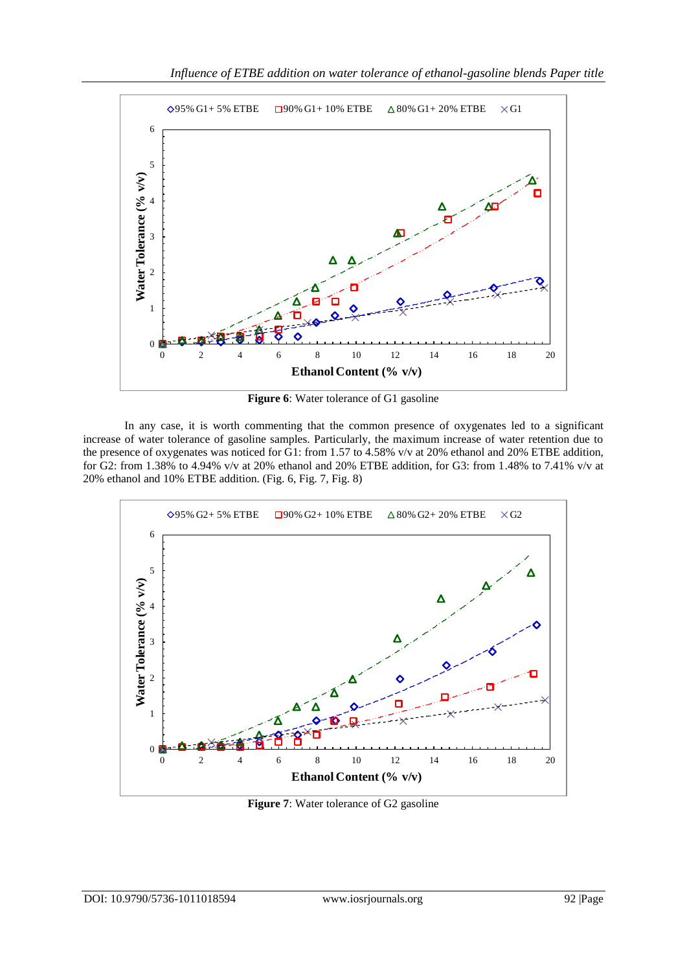

**Figure 6**: Water tolerance of G1 gasoline

In any case, it is worth commenting that the common presence of oxygenates led to a significant increase of water tolerance of gasoline samples. Particularly, the maximum increase of water retention due to the presence of oxygenates was noticed for G1: from 1.57 to 4.58% v/v at 20% ethanol and 20% ETBE addition, for G2: from 1.38% to 4.94% v/v at 20% ethanol and 20% ETBE addition, for G3: from 1.48% to 7.41% v/v at 20% ethanol and 10% ETBE addition. (Fig. 6, Fig. 7, Fig. 8)



**Figure 7**: Water tolerance of G2 gasoline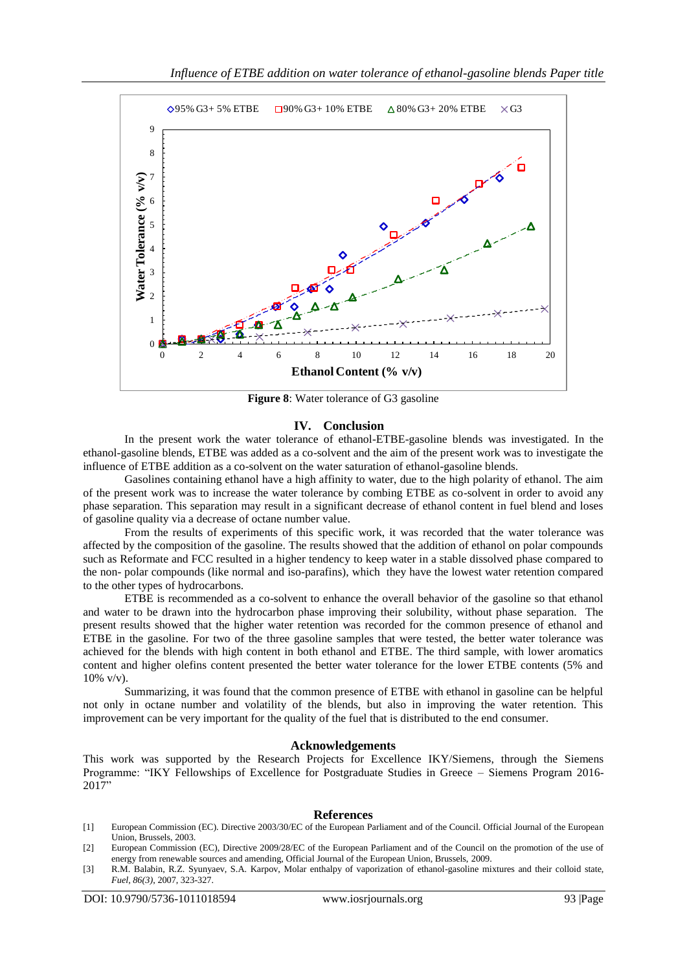

**Figure 8**: Water tolerance of G3 gasoline

#### **IV. Conclusion**

In the present work the water tolerance of ethanol-ETBE-gasoline blends was investigated. In the ethanol-gasoline blends, ETBE was added as a co-solvent and the aim of the present work was to investigate the influence of ETBE addition as a co-solvent on the water saturation of ethanol-gasoline blends.

Gasolines containing ethanol have a high affinity to water, due to the high polarity of ethanol. The aim of the present work was to increase the water tolerance by combing ETBE as co-solvent in order to avoid any phase separation. This separation may result in a significant decrease of ethanol content in fuel blend and loses of gasoline quality via a decrease of octane number value.

From the results of experiments of this specific work, it was recorded that the water tolerance was affected by the composition of the gasoline. The results showed that the addition of ethanol on polar compounds such as Reformate and FCC resulted in a higher tendency to keep water in a stable dissolved phase compared to the non- polar compounds (like normal and iso-parafins), which they have the lowest water retention compared to the other types of hydrocarbons.

ETBE is recommended as a co-solvent to enhance the overall behavior of the gasoline so that ethanol and water to be drawn into the hydrocarbon phase improving their solubility, without phase separation. The present results showed that the higher water retention was recorded for the common presence of ethanol and ETBE in the gasoline. For two of the three gasoline samples that were tested, the better water tolerance was achieved for the blends with high content in both ethanol and ETBE. The third sample, with lower aromatics content and higher olefins content presented the better water tolerance for the lower ETBE contents (5% and 10% v/v).

Summarizing, it was found that the common presence of ETBE with ethanol in gasoline can be helpful not only in octane number and volatility of the blends, but also in improving the water retention. This improvement can be very important for the quality of the fuel that is distributed to the end consumer.

### **Acknowledgements**

This work was supported by the Research Projects for Excellence IKY/Siemens, through the Siemens Programme: "IKY Fellowships of Excellence for Postgraduate Studies in Greece – Siemens Program 2016- 2017"

#### **References**

- [1] European Commission (EC). Directive 2003/30/EC of the European Parliament and of the Council. Official Journal of the European Union, Brussels, 2003.
- [2] European Commission (EC), Directive 2009/28/EC of the European Parliament and of the Council on the promotion of the use of energy from renewable sources and amending, Official Journal of the European Union, Brussels, 2009.
- [3] R.M. Balabin, R.Z. Syunyaev, S.A. Karpov, Molar enthalpy of vaporization of ethanol-gasoline mixtures and their colloid state, *Fuel, 86(3)*, 2007, 323-327.